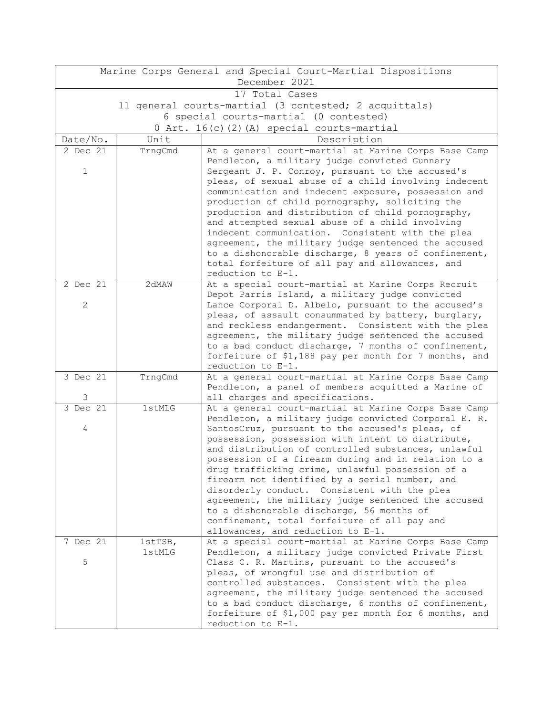| Marine Corps General and Special Court-Martial Dispositions |         |                                                                                                     |  |  |  |
|-------------------------------------------------------------|---------|-----------------------------------------------------------------------------------------------------|--|--|--|
| December 2021                                               |         |                                                                                                     |  |  |  |
| 17 Total Cases                                              |         |                                                                                                     |  |  |  |
| 11 general courts-martial (3 contested; 2 acquittals)       |         |                                                                                                     |  |  |  |
| 6 special courts-martial (0 contested)                      |         |                                                                                                     |  |  |  |
| 0 Art. 16(c)(2)(A) special courts-martial                   |         |                                                                                                     |  |  |  |
| Date/No.                                                    | Unit    | Description                                                                                         |  |  |  |
| 2 Dec 21                                                    | TrngCmd | At a general court-martial at Marine Corps Base Camp                                                |  |  |  |
|                                                             |         | Pendleton, a military judge convicted Gunnery                                                       |  |  |  |
| $\mathbf{1}$                                                |         | Sergeant J. P. Conroy, pursuant to the accused's                                                    |  |  |  |
|                                                             |         | pleas, of sexual abuse of a child involving indecent                                                |  |  |  |
|                                                             |         | communication and indecent exposure, possession and                                                 |  |  |  |
|                                                             |         | production of child pornography, soliciting the                                                     |  |  |  |
|                                                             |         | production and distribution of child pornography,                                                   |  |  |  |
|                                                             |         | and attempted sexual abuse of a child involving<br>indecent communication. Consistent with the plea |  |  |  |
|                                                             |         | agreement, the military judge sentenced the accused                                                 |  |  |  |
|                                                             |         | to a dishonorable discharge, 8 years of confinement,                                                |  |  |  |
|                                                             |         | total forfeiture of all pay and allowances, and                                                     |  |  |  |
|                                                             |         | reduction to E-1.                                                                                   |  |  |  |
| 2 Dec 21                                                    | 2dMAW   | At a special court-martial at Marine Corps Recruit                                                  |  |  |  |
|                                                             |         | Depot Parris Island, a military judge convicted                                                     |  |  |  |
| $\mathbf{2}$                                                |         | Lance Corporal D. Albelo, pursuant to the accused's                                                 |  |  |  |
|                                                             |         | pleas, of assault consummated by battery, burglary,                                                 |  |  |  |
|                                                             |         | and reckless endangerment. Consistent with the plea                                                 |  |  |  |
|                                                             |         | agreement, the military judge sentenced the accused                                                 |  |  |  |
|                                                             |         | to a bad conduct discharge, 7 months of confinement,                                                |  |  |  |
|                                                             |         | forfeiture of \$1,188 pay per month for 7 months, and                                               |  |  |  |
| 3 Dec 21                                                    | TrngCmd | reduction to E-1.<br>At a general court-martial at Marine Corps Base Camp                           |  |  |  |
|                                                             |         | Pendleton, a panel of members acquitted a Marine of                                                 |  |  |  |
| 3                                                           |         | all charges and specifications.                                                                     |  |  |  |
| 3 Dec 21                                                    | 1stMLG  | At a general court-martial at Marine Corps Base Camp                                                |  |  |  |
|                                                             |         | Pendleton, a military judge convicted Corporal E. R.                                                |  |  |  |
| 4                                                           |         | SantosCruz, pursuant to the accused's pleas, of                                                     |  |  |  |
|                                                             |         | possession, possession with intent to distribute,                                                   |  |  |  |
|                                                             |         | and distribution of controlled substances, unlawful                                                 |  |  |  |
|                                                             |         | possession of a firearm during and in relation to a                                                 |  |  |  |
|                                                             |         | drug trafficking crime, unlawful possession of a                                                    |  |  |  |
|                                                             |         | firearm not identified by a serial number, and                                                      |  |  |  |
|                                                             |         | disorderly conduct. Consistent with the plea                                                        |  |  |  |
|                                                             |         | agreement, the military judge sentenced the accused                                                 |  |  |  |
|                                                             |         | to a dishonorable discharge, 56 months of                                                           |  |  |  |
|                                                             |         | confinement, total forfeiture of all pay and<br>allowances, and reduction to E-1.                   |  |  |  |
| 7 Dec 21                                                    | 1stTSB, | At a special court-martial at Marine Corps Base Camp                                                |  |  |  |
|                                                             | 1stMLG  | Pendleton, a military judge convicted Private First                                                 |  |  |  |
| 5                                                           |         | Class C. R. Martins, pursuant to the accused's                                                      |  |  |  |
|                                                             |         | pleas, of wrongful use and distribution of                                                          |  |  |  |
|                                                             |         | controlled substances. Consistent with the plea                                                     |  |  |  |
|                                                             |         | agreement, the military judge sentenced the accused                                                 |  |  |  |
|                                                             |         | to a bad conduct discharge, 6 months of confinement,                                                |  |  |  |
|                                                             |         | forfeiture of \$1,000 pay per month for 6 months, and                                               |  |  |  |
|                                                             |         | reduction to E-1.                                                                                   |  |  |  |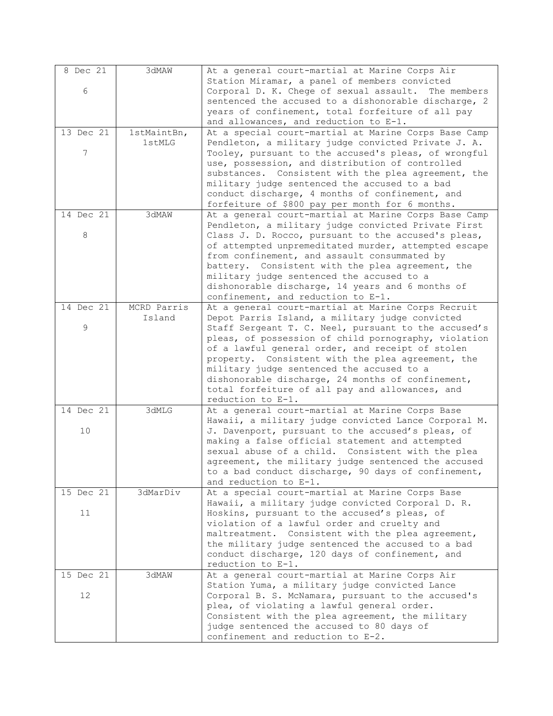| 8 Dec 21  | 3dMAW       | At a general court-martial at Marine Corps Air                                                            |
|-----------|-------------|-----------------------------------------------------------------------------------------------------------|
|           |             | Station Miramar, a panel of members convicted                                                             |
| 6         |             | Corporal D. K. Chege of sexual assault.<br>The members                                                    |
|           |             | sentenced the accused to a dishonorable discharge, 2                                                      |
|           |             | years of confinement, total forfeiture of all pay                                                         |
|           |             | and allowances, and reduction to E-1.                                                                     |
| 13 Dec 21 | 1stMaintBn, | At a special court-martial at Marine Corps Base Camp                                                      |
|           | 1stMLG      | Pendleton, a military judge convicted Private J. A.                                                       |
| 7         |             | Tooley, pursuant to the accused's pleas, of wrongful                                                      |
|           |             | use, possession, and distribution of controlled                                                           |
|           |             | substances. Consistent with the plea agreement, the                                                       |
|           |             | military judge sentenced the accused to a bad                                                             |
|           |             | conduct discharge, 4 months of confinement, and                                                           |
|           |             | forfeiture of \$800 pay per month for 6 months.                                                           |
| 14 Dec 21 | 3dMAW       | At a general court-martial at Marine Corps Base Camp                                                      |
| 8         |             | Pendleton, a military judge convicted Private First                                                       |
|           |             | Class J. D. Rocco, pursuant to the accused's pleas,                                                       |
|           |             | of attempted unpremeditated murder, attempted escape<br>from confinement, and assault consummated by      |
|           |             | battery. Consistent with the plea agreement, the                                                          |
|           |             | military judge sentenced the accused to a                                                                 |
|           |             | dishonorable discharge, 14 years and 6 months of                                                          |
|           |             | confinement, and reduction to E-1.                                                                        |
| 14 Dec 21 | MCRD Parris | At a general court-martial at Marine Corps Recruit                                                        |
|           | Island      | Depot Parris Island, a military judge convicted                                                           |
| 9         |             | Staff Sergeant T. C. Neel, pursuant to the accused's                                                      |
|           |             | pleas, of possession of child pornography, violation                                                      |
|           |             | of a lawful general order, and receipt of stolen                                                          |
|           |             | property. Consistent with the plea agreement, the                                                         |
|           |             | military judge sentenced the accused to a                                                                 |
|           |             | dishonorable discharge, 24 months of confinement,                                                         |
|           |             | total forfeiture of all pay and allowances, and                                                           |
|           |             | reduction to E-1.                                                                                         |
| 14 Dec 21 | 3dMLG       | At a general court-martial at Marine Corps Base                                                           |
|           |             | Hawaii, a military judge convicted Lance Corporal M.<br>J. Davenport, pursuant to the accused's pleas, of |
| 10        |             | making a false official statement and attempted                                                           |
|           |             | sexual abuse of a child. Consistent with the plea                                                         |
|           |             | agreement, the military judge sentenced the accused                                                       |
|           |             | to a bad conduct discharge, 90 days of confinement,                                                       |
|           |             | and reduction to E-1.                                                                                     |
| 15 Dec 21 | 3dMarDiv    | At a special court-martial at Marine Corps Base                                                           |
|           |             | Hawaii, a military judge convicted Corporal D. R.                                                         |
| 11        |             | Hoskins, pursuant to the accused's pleas, of                                                              |
|           |             | violation of a lawful order and cruelty and                                                               |
|           |             | maltreatment. Consistent with the plea agreement,                                                         |
|           |             | the military judge sentenced the accused to a bad                                                         |
|           |             | conduct discharge, 120 days of confinement, and                                                           |
|           |             | reduction to E-1.                                                                                         |
| 15 Dec 21 | 3dMAW       | At a general court-martial at Marine Corps Air                                                            |
|           |             | Station Yuma, a military judge convicted Lance                                                            |
| 12        |             | Corporal B. S. McNamara, pursuant to the accused's                                                        |
|           |             | plea, of violating a lawful general order.                                                                |
|           |             | Consistent with the plea agreement, the military                                                          |
|           |             | judge sentenced the accused to 80 days of                                                                 |
|           |             | confinement and reduction to E-2.                                                                         |